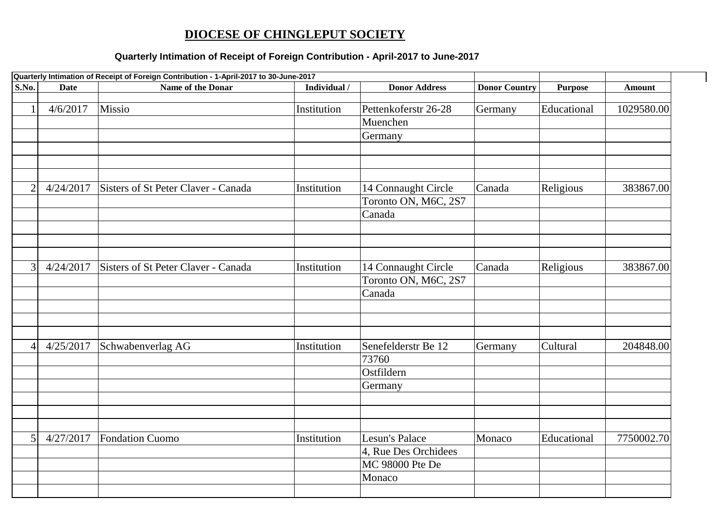## **DIOCESE OF CHINGLEPUT SOCIETY**

## **Quarterly Intimation of Receipt of Foreign Contribution - April-2017 to June-2017**

| S.No.<br>Name of the Donar<br>Individual /<br><b>Donor Address</b><br><b>Donor Country</b><br><b>Date</b><br><b>Purpose</b><br><b>Amount</b><br>Missio<br>4/6/2017<br>Educational<br>1029580.00<br>$\mathbf{1}$<br>Institution<br>Pettenkoferstr 26-28<br>Germany<br>Muenchen<br>Germany<br>$\overline{2}$<br>4/24/2017<br>Sisters of St Peter Claver - Canada<br>Religious<br>383867.00<br>Institution<br>14 Connaught Circle<br>Canada<br>Toronto ON, M6C, 2S7<br>Canada<br>3<br>Sisters of St Peter Claver - Canada<br>Canada<br>4/24/2017<br>Institution<br>14 Connaught Circle<br>Religious<br>383867.00<br>Toronto ON, M6C, 2S7<br>Canada<br>Cultural<br>4/25/2017<br>Schwabenverlag AG<br>Senefelderstr Be 12<br>Institution<br>Germany<br>204848.00<br>$\overline{4}$<br>73760<br>Ostfildern<br>Germany<br>7750002.70<br>4/27/2017<br>Fondation Cuomo<br>Educational<br>5<br>Institution<br>Lesun's Palace<br>Monaco<br>4, Rue Des Orchidees<br>MC 98000 Pte De<br>Monaco | Quarterly Intimation of Receipt of Foreign Contribution - 1-April-2017 to 30-June-2017 |  |  |  |  |  |
|-----------------------------------------------------------------------------------------------------------------------------------------------------------------------------------------------------------------------------------------------------------------------------------------------------------------------------------------------------------------------------------------------------------------------------------------------------------------------------------------------------------------------------------------------------------------------------------------------------------------------------------------------------------------------------------------------------------------------------------------------------------------------------------------------------------------------------------------------------------------------------------------------------------------------------------------------------------------------------------|----------------------------------------------------------------------------------------|--|--|--|--|--|
|                                                                                                                                                                                                                                                                                                                                                                                                                                                                                                                                                                                                                                                                                                                                                                                                                                                                                                                                                                                   |                                                                                        |  |  |  |  |  |
|                                                                                                                                                                                                                                                                                                                                                                                                                                                                                                                                                                                                                                                                                                                                                                                                                                                                                                                                                                                   |                                                                                        |  |  |  |  |  |
|                                                                                                                                                                                                                                                                                                                                                                                                                                                                                                                                                                                                                                                                                                                                                                                                                                                                                                                                                                                   |                                                                                        |  |  |  |  |  |
|                                                                                                                                                                                                                                                                                                                                                                                                                                                                                                                                                                                                                                                                                                                                                                                                                                                                                                                                                                                   |                                                                                        |  |  |  |  |  |
|                                                                                                                                                                                                                                                                                                                                                                                                                                                                                                                                                                                                                                                                                                                                                                                                                                                                                                                                                                                   |                                                                                        |  |  |  |  |  |
|                                                                                                                                                                                                                                                                                                                                                                                                                                                                                                                                                                                                                                                                                                                                                                                                                                                                                                                                                                                   |                                                                                        |  |  |  |  |  |
|                                                                                                                                                                                                                                                                                                                                                                                                                                                                                                                                                                                                                                                                                                                                                                                                                                                                                                                                                                                   |                                                                                        |  |  |  |  |  |
|                                                                                                                                                                                                                                                                                                                                                                                                                                                                                                                                                                                                                                                                                                                                                                                                                                                                                                                                                                                   |                                                                                        |  |  |  |  |  |
|                                                                                                                                                                                                                                                                                                                                                                                                                                                                                                                                                                                                                                                                                                                                                                                                                                                                                                                                                                                   |                                                                                        |  |  |  |  |  |
|                                                                                                                                                                                                                                                                                                                                                                                                                                                                                                                                                                                                                                                                                                                                                                                                                                                                                                                                                                                   |                                                                                        |  |  |  |  |  |
|                                                                                                                                                                                                                                                                                                                                                                                                                                                                                                                                                                                                                                                                                                                                                                                                                                                                                                                                                                                   |                                                                                        |  |  |  |  |  |
|                                                                                                                                                                                                                                                                                                                                                                                                                                                                                                                                                                                                                                                                                                                                                                                                                                                                                                                                                                                   |                                                                                        |  |  |  |  |  |
|                                                                                                                                                                                                                                                                                                                                                                                                                                                                                                                                                                                                                                                                                                                                                                                                                                                                                                                                                                                   |                                                                                        |  |  |  |  |  |
|                                                                                                                                                                                                                                                                                                                                                                                                                                                                                                                                                                                                                                                                                                                                                                                                                                                                                                                                                                                   |                                                                                        |  |  |  |  |  |
|                                                                                                                                                                                                                                                                                                                                                                                                                                                                                                                                                                                                                                                                                                                                                                                                                                                                                                                                                                                   |                                                                                        |  |  |  |  |  |
|                                                                                                                                                                                                                                                                                                                                                                                                                                                                                                                                                                                                                                                                                                                                                                                                                                                                                                                                                                                   |                                                                                        |  |  |  |  |  |
|                                                                                                                                                                                                                                                                                                                                                                                                                                                                                                                                                                                                                                                                                                                                                                                                                                                                                                                                                                                   |                                                                                        |  |  |  |  |  |
|                                                                                                                                                                                                                                                                                                                                                                                                                                                                                                                                                                                                                                                                                                                                                                                                                                                                                                                                                                                   |                                                                                        |  |  |  |  |  |
|                                                                                                                                                                                                                                                                                                                                                                                                                                                                                                                                                                                                                                                                                                                                                                                                                                                                                                                                                                                   |                                                                                        |  |  |  |  |  |
|                                                                                                                                                                                                                                                                                                                                                                                                                                                                                                                                                                                                                                                                                                                                                                                                                                                                                                                                                                                   |                                                                                        |  |  |  |  |  |
|                                                                                                                                                                                                                                                                                                                                                                                                                                                                                                                                                                                                                                                                                                                                                                                                                                                                                                                                                                                   |                                                                                        |  |  |  |  |  |
|                                                                                                                                                                                                                                                                                                                                                                                                                                                                                                                                                                                                                                                                                                                                                                                                                                                                                                                                                                                   |                                                                                        |  |  |  |  |  |
|                                                                                                                                                                                                                                                                                                                                                                                                                                                                                                                                                                                                                                                                                                                                                                                                                                                                                                                                                                                   |                                                                                        |  |  |  |  |  |
|                                                                                                                                                                                                                                                                                                                                                                                                                                                                                                                                                                                                                                                                                                                                                                                                                                                                                                                                                                                   |                                                                                        |  |  |  |  |  |
|                                                                                                                                                                                                                                                                                                                                                                                                                                                                                                                                                                                                                                                                                                                                                                                                                                                                                                                                                                                   |                                                                                        |  |  |  |  |  |
|                                                                                                                                                                                                                                                                                                                                                                                                                                                                                                                                                                                                                                                                                                                                                                                                                                                                                                                                                                                   |                                                                                        |  |  |  |  |  |
|                                                                                                                                                                                                                                                                                                                                                                                                                                                                                                                                                                                                                                                                                                                                                                                                                                                                                                                                                                                   |                                                                                        |  |  |  |  |  |
|                                                                                                                                                                                                                                                                                                                                                                                                                                                                                                                                                                                                                                                                                                                                                                                                                                                                                                                                                                                   |                                                                                        |  |  |  |  |  |
|                                                                                                                                                                                                                                                                                                                                                                                                                                                                                                                                                                                                                                                                                                                                                                                                                                                                                                                                                                                   |                                                                                        |  |  |  |  |  |
|                                                                                                                                                                                                                                                                                                                                                                                                                                                                                                                                                                                                                                                                                                                                                                                                                                                                                                                                                                                   |                                                                                        |  |  |  |  |  |
|                                                                                                                                                                                                                                                                                                                                                                                                                                                                                                                                                                                                                                                                                                                                                                                                                                                                                                                                                                                   |                                                                                        |  |  |  |  |  |
|                                                                                                                                                                                                                                                                                                                                                                                                                                                                                                                                                                                                                                                                                                                                                                                                                                                                                                                                                                                   |                                                                                        |  |  |  |  |  |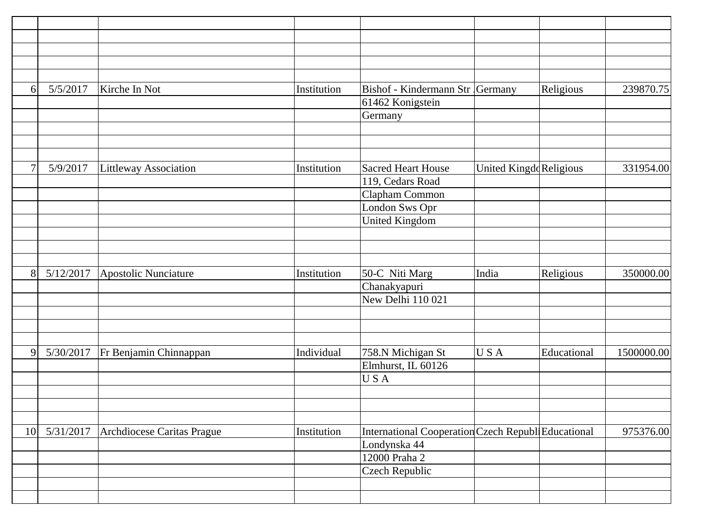| 6              | 5/5/2017  | Kirche In Not                | Institution | Bishof - Kindermann Str Germany                     |                        | Religious   | 239870.75  |
|----------------|-----------|------------------------------|-------------|-----------------------------------------------------|------------------------|-------------|------------|
|                |           |                              |             | 61462 Konigstein                                    |                        |             |            |
|                |           |                              |             | Germany                                             |                        |             |            |
|                |           |                              |             |                                                     |                        |             |            |
|                |           |                              |             |                                                     |                        |             |            |
|                |           |                              |             |                                                     |                        |             |            |
| $\overline{7}$ | 5/9/2017  | <b>Littleway Association</b> | Institution | <b>Sacred Heart House</b>                           | United KingddReligious |             | 331954.00  |
|                |           |                              |             | 119, Cedars Road                                    |                        |             |            |
|                |           |                              |             | Clapham Common                                      |                        |             |            |
|                |           |                              |             | London Sws Opr                                      |                        |             |            |
|                |           |                              |             | <b>United Kingdom</b>                               |                        |             |            |
|                |           |                              |             |                                                     |                        |             |            |
|                |           |                              |             |                                                     |                        |             |            |
|                |           |                              |             |                                                     |                        |             |            |
| 8              | 5/12/2017 | Apostolic Nunciature         | Institution | 50-C Niti Marg                                      | India                  | Religious   | 350000.00  |
|                |           |                              |             | Chanakyapuri                                        |                        |             |            |
|                |           |                              |             | New Delhi 110 021                                   |                        |             |            |
|                |           |                              |             |                                                     |                        |             |            |
|                |           |                              |             |                                                     |                        |             |            |
|                |           |                              |             |                                                     |                        |             |            |
| 9              | 5/30/2017 | Fr Benjamin Chinnappan       | Individual  | 758.N Michigan St                                   | USA                    | Educational | 1500000.00 |
|                |           |                              |             | Elmhurst, IL 60126                                  |                        |             |            |
|                |           |                              |             | USA                                                 |                        |             |            |
|                |           |                              |             |                                                     |                        |             |            |
|                |           |                              |             |                                                     |                        |             |            |
|                |           |                              |             |                                                     |                        |             |            |
| 10             | 5/31/2017 | Archdiocese Caritas Prague   | Institution | International Cooperation Czech Republi Educational |                        |             | 975376.00  |
|                |           |                              |             | Londynska 44                                        |                        |             |            |
|                |           |                              |             | 12000 Praha 2                                       |                        |             |            |
|                |           |                              |             | <b>Czech Republic</b>                               |                        |             |            |
|                |           |                              |             |                                                     |                        |             |            |
|                |           |                              |             |                                                     |                        |             |            |